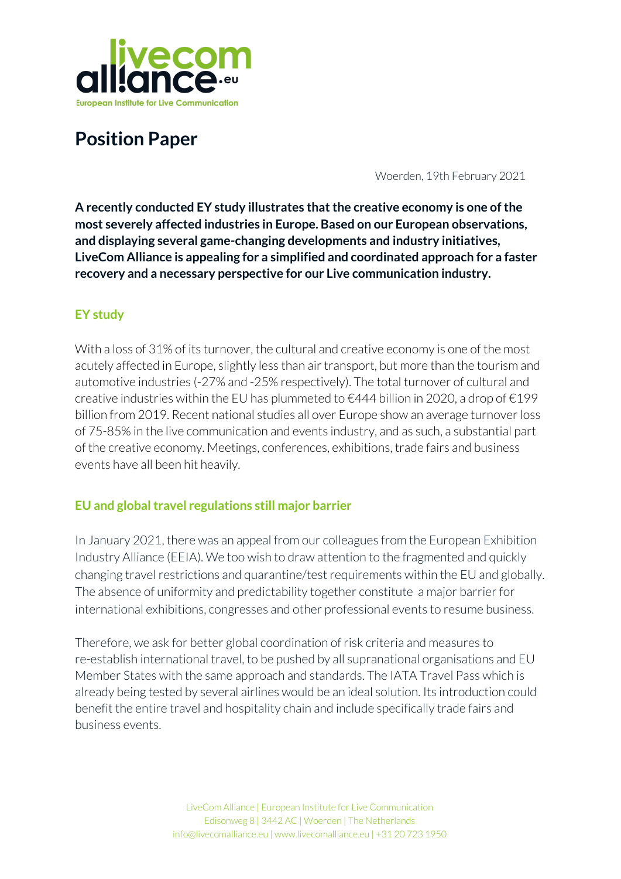

# **Position Paper**

Woerden, 19th February 2021

**A recently conducted EY study illustrates thatthe creative economy is one ofthe most severely affected industries in Europe. Based on our European observations, and displaying several game-changing developments and industry initiatives, LiveCom Alliance is appealing for a simplified and coordinated approach for a faster recovery and a necessary perspective for our Live communication industry.**

# **EY study**

With a loss of 31% of its turnover, the cultural and creative economy is one of the most acutely affected in Europe, slightly less than air transport, but more than the tourism and automotive industries (-27% and -25% respectively). The total turnover of cultural and creative industries within the EU has plummeted to €444 billion in 2020, a drop of €199 billion from 2019. Recent national studies all over Europe show an average turnoverloss of 75-85% in the live communication and events industry, and as such, a substantial part of the creative economy. Meetings, conferences, exhibitions, trade fairs and business events have all been hit heavily.

## **EU and globaltravel regulations still major barrier**

In January 2021, there was an appeal from our colleagues from the European Exhibition Industry Alliance (EEIA). We too wish to draw attention to the fragmented and quickly changing travel restrictions and quarantine/test requirements within the EU and globally. The absence of uniformity and predictability together constitute a major barrier for international exhibitions, congresses and other professional events to resume business.

Therefore, we ask for better global coordination of risk criteria and measures to re-establish international travel, to be pushed by all supranational organisations and EU Member States with the same approach and standards. The IATA Travel Pass which is already being tested by several airlines would be an ideal solution. Its introduction could benefit the entire travel and hospitality chain and include specifically trade fairs and business events.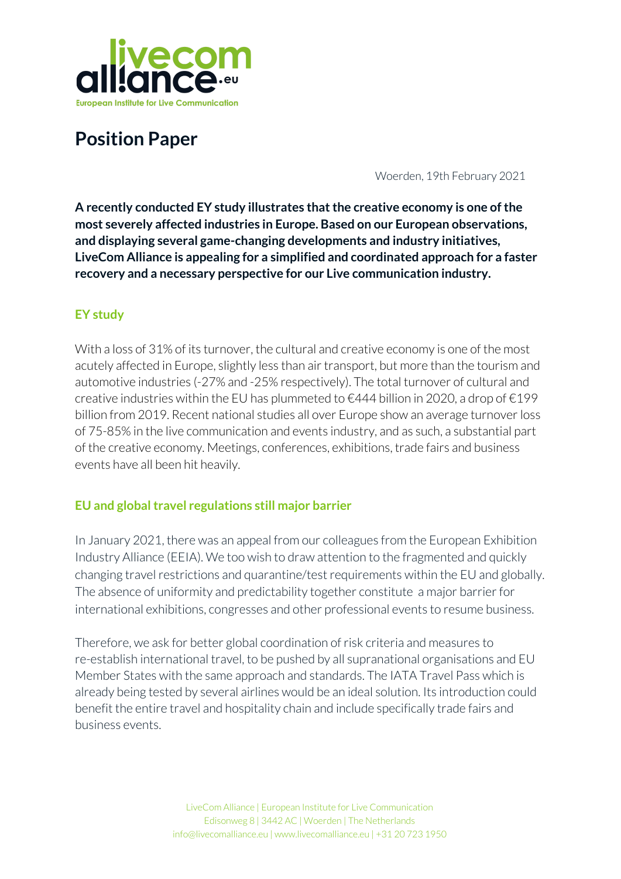

Since this crisis began, our industry has been working to avoid the total collapse of our ecosystem, and all its stakeholders. Resilience is in our DNA and we believe in an open, constructive and positive approach and dialogue. Meanwhile, in line with this, several test events have been successfully launched (eg. Primavera Sound Barcelona, several studies focused concerts and theatre in Germany) or scheduled forthe nearfuture (i.e. 8 test events in 4 categories by Fieldlab Events in the Netherlands). Intending to study and showcase alternative safety measures and scientifically proven scenarios, aimed at opening up with increased capacity (aiming forfull capacity).

# **Re-opening through vaccination and testing**

Vaccinations are essential to safely reopening borders, enabling travel within Europe and worldwide, and beginning economic recovery. Combined with intelligent and broad testing schemes they are the key to re-establishing confidence among travellers, freedom of movement and rebuilding connectivity. To that aim, globally-recognised certificates are vital.

In conclusion, and in accordance with our member-associations all over Europe, the LiveCom Alliance presses for:

- $\bullet$  The implementation of unified, international travel rules and documents, to restart the opportunities to travel.
- $\bullet$  An open-minded recognition of the results of studies and test events, documenting that professionally organised live events, within the defined framework of COVID-19 measurements, are possible and feasible.
- The continued development of existing vaccination and testing strategies.
- $\blacksquare$  And most importantly, the necessary coordinated EU-wide approach for these topics, to restart the live communication industry as soon as possible.

### **Source:**

- Studie EY zum Schaden der Veranstaltungswirtschaft 2021.pdf
- Position Paper EEIA, January 20th 2021